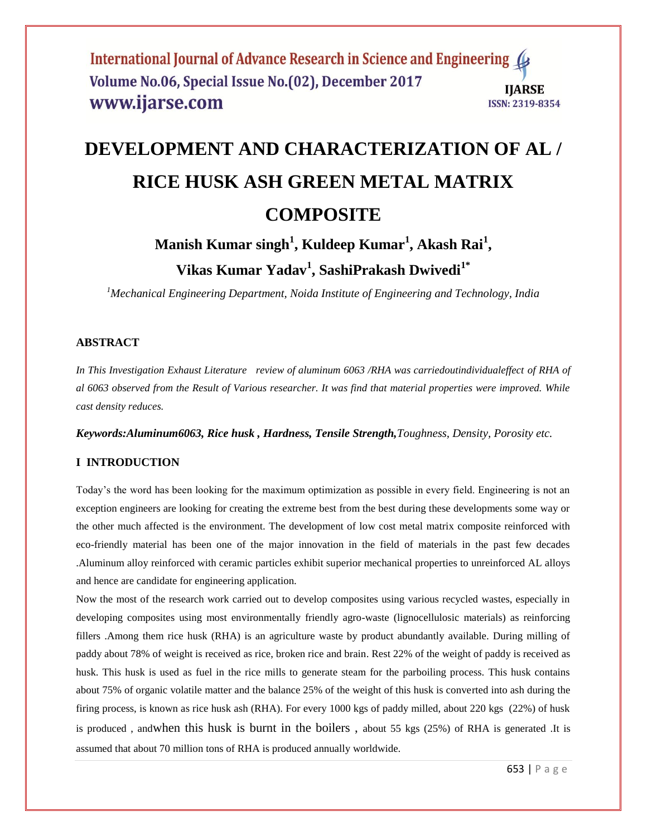# **DEVELOPMENT AND CHARACTERIZATION OF AL / RICE HUSK ASH GREEN METAL MATRIX COMPOSITE**

# **Manish Kumar singh<sup>1</sup> , Kuldeep Kumar<sup>1</sup> , Akash Rai<sup>1</sup> , Vikas Kumar Yadav<sup>1</sup> , SashiPrakash Dwivedi1\***

*<sup>1</sup>Mechanical Engineering Department, Noida Institute of Engineering and Technology, India*

# **ABSTRACT**

*In This Investigation Exhaust Literature review of aluminum 6063 /RHA was carriedoutindividualeffect of RHA of al 6063 observed from the Result of Various researcher. It was find that material properties were improved. While cast density reduces.*

*Keywords:Aluminum6063, Rice husk , Hardness, Tensile Strength,Toughness, Density, Porosity etc.* 

# **I INTRODUCTION**

Today's the word has been looking for the maximum optimization as possible in every field. Engineering is not an exception engineers are looking for creating the extreme best from the best during these developments some way or the other much affected is the environment. The development of low cost metal matrix composite reinforced with eco-friendly material has been one of the major innovation in the field of materials in the past few decades .Aluminum alloy reinforced with ceramic particles exhibit superior mechanical properties to unreinforced AL alloys and hence are candidate for engineering application.

Now the most of the research work carried out to develop composites using various recycled wastes, especially in developing composites using most environmentally friendly agro-waste (lignocellulosic materials) as reinforcing fillers .Among them rice husk (RHA) is an agriculture waste by product abundantly available. During milling of paddy about 78% of weight is received as rice, broken rice and brain. Rest 22% of the weight of paddy is received as husk. This husk is used as fuel in the rice mills to generate steam for the parboiling process. This husk contains about 75% of organic volatile matter and the balance 25% of the weight of this husk is converted into ash during the firing process, is known as rice husk ash (RHA). For every 1000 kgs of paddy milled, about 220 kgs (22%) of husk is produced , andwhen this husk is burnt in the boilers , about 55 kgs (25%) of RHA is generated .It is assumed that about 70 million tons of RHA is produced annually worldwide.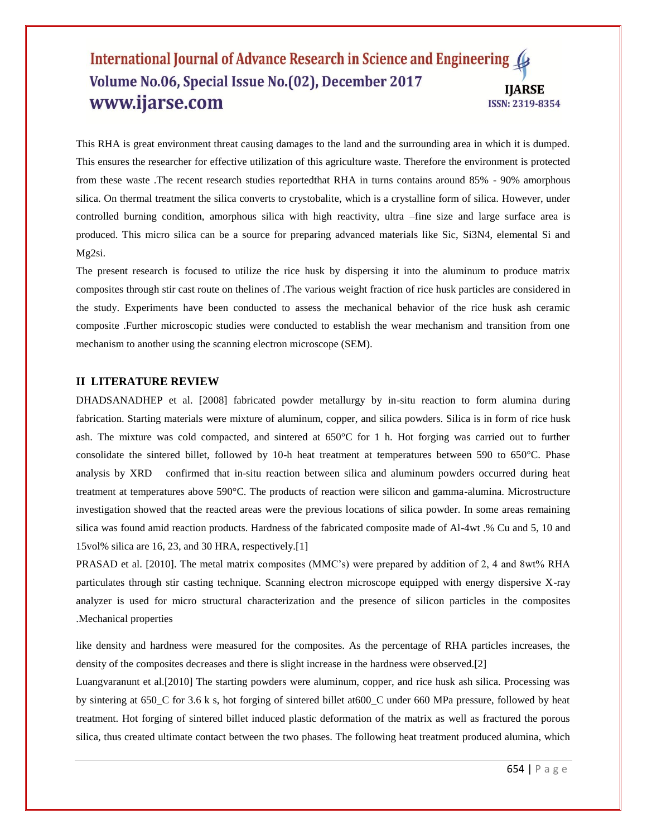This RHA is great environment threat causing damages to the land and the surrounding area in which it is dumped. This ensures the researcher for effective utilization of this agriculture waste. Therefore the environment is protected from these waste .The recent research studies reportedthat RHA in turns contains around 85% - 90% amorphous silica. On thermal treatment the silica converts to crystobalite, which is a crystalline form of silica. However, under controlled burning condition, amorphous silica with high reactivity, ultra –fine size and large surface area is produced. This micro silica can be a source for preparing advanced materials like Sic, Si3N4, elemental Si and Mg2si.

The present research is focused to utilize the rice husk by dispersing it into the aluminum to produce matrix composites through stir cast route on thelines of .The various weight fraction of rice husk particles are considered in the study. Experiments have been conducted to assess the mechanical behavior of the rice husk ash ceramic composite .Further microscopic studies were conducted to establish the wear mechanism and transition from one mechanism to another using the scanning electron microscope (SEM).

#### **II LITERATURE REVIEW**

DHADSANADHEP et al. [2008] fabricated powder metallurgy by in-situ reaction to form alumina during fabrication. Starting materials were mixture of aluminum, copper, and silica powders. Silica is in form of rice husk ash. The mixture was cold compacted, and sintered at 650°C for 1 h. Hot forging was carried out to further consolidate the sintered billet, followed by 10-h heat treatment at temperatures between 590 to 650°C. Phase analysis by XRD confirmed that in-situ reaction between silica and aluminum powders occurred during heat treatment at temperatures above 590°C. The products of reaction were silicon and gamma-alumina. Microstructure investigation showed that the reacted areas were the previous locations of silica powder. In some areas remaining silica was found amid reaction products. Hardness of the fabricated composite made of Al-4wt .% Cu and 5, 10 and 15vol% silica are 16, 23, and 30 HRA, respectively.[1]

PRASAD et al. [2010]. The metal matrix composites (MMC's) were prepared by addition of 2, 4 and 8wt% RHA particulates through stir casting technique. Scanning electron microscope equipped with energy dispersive X-ray analyzer is used for micro structural characterization and the presence of silicon particles in the composites .Mechanical properties

like density and hardness were measured for the composites. As the percentage of RHA particles increases, the density of the composites decreases and there is slight increase in the hardness were observed.[2]

Luangvaranunt et al.[2010] The starting powders were aluminum, copper, and rice husk ash silica. Processing was by sintering at 650\_C for 3.6 k s, hot forging of sintered billet at600\_C under 660 MPa pressure, followed by heat treatment. Hot forging of sintered billet induced plastic deformation of the matrix as well as fractured the porous silica, thus created ultimate contact between the two phases. The following heat treatment produced alumina, which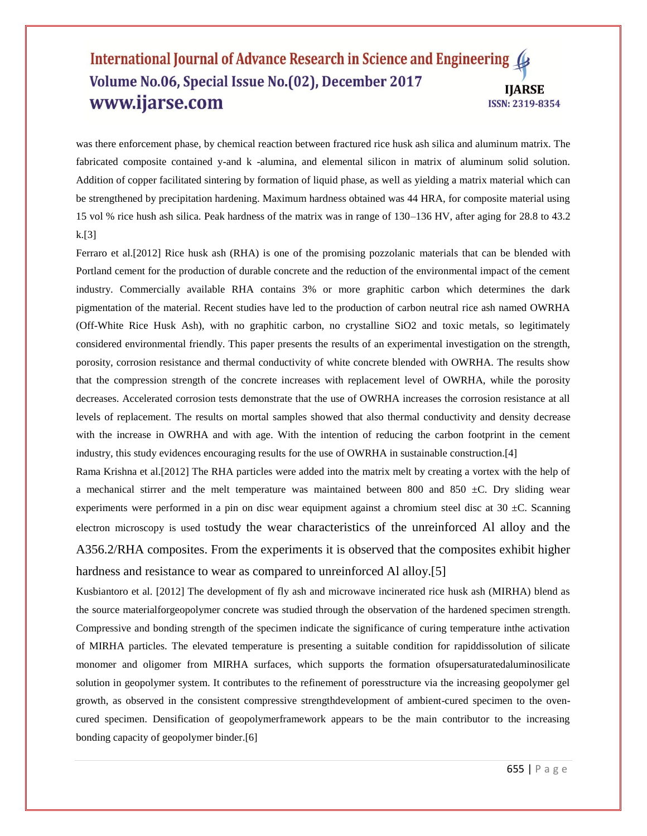was there enforcement phase, by chemical reaction between fractured rice husk ash silica and aluminum matrix. The fabricated composite contained y-and k -alumina, and elemental silicon in matrix of aluminum solid solution. Addition of copper facilitated sintering by formation of liquid phase, as well as yielding a matrix material which can be strengthened by precipitation hardening. Maximum hardness obtained was 44 HRA, for composite material using 15 vol % rice hush ash silica. Peak hardness of the matrix was in range of 130–136 HV, after aging for 28.8 to 43.2  $k$ [3]

Ferraro et al.[2012] Rice husk ash (RHA) is one of the promising pozzolanic materials that can be blended with Portland cement for the production of durable concrete and the reduction of the environmental impact of the cement industry. Commercially available RHA contains 3% or more graphitic carbon which determines the dark pigmentation of the material. Recent studies have led to the production of carbon neutral rice ash named OWRHA (Off-White Rice Husk Ash), with no graphitic carbon, no crystalline SiO2 and toxic metals, so legitimately considered environmental friendly. This paper presents the results of an experimental investigation on the strength, porosity, corrosion resistance and thermal conductivity of white concrete blended with OWRHA. The results show that the compression strength of the concrete increases with replacement level of OWRHA, while the porosity decreases. Accelerated corrosion tests demonstrate that the use of OWRHA increases the corrosion resistance at all levels of replacement. The results on mortal samples showed that also thermal conductivity and density decrease with the increase in OWRHA and with age. With the intention of reducing the carbon footprint in the cement industry, this study evidences encouraging results for the use of OWRHA in sustainable construction.[4]

Rama Krishna et al.[2012] The RHA particles were added into the matrix melt by creating a vortex with the help of a mechanical stirrer and the melt temperature was maintained between 800 and 850  $\pm$ C. Dry sliding wear experiments were performed in a pin on disc wear equipment against a chromium steel disc at  $30 \pm C$ . Scanning electron microscopy is used tostudy the wear characteristics of the unreinforced Al alloy and the A356.2/RHA composites. From the experiments it is observed that the composites exhibit higher hardness and resistance to wear as compared to unreinforced Al alloy.[5]

Kusbiantoro et al. [2012] The development of fly ash and microwave incinerated rice husk ash (MIRHA) blend as the source materialforgeopolymer concrete was studied through the observation of the hardened specimen strength. Compressive and bonding strength of the specimen indicate the significance of curing temperature inthe activation of MIRHA particles. The elevated temperature is presenting a suitable condition for rapiddissolution of silicate monomer and oligomer from MIRHA surfaces, which supports the formation ofsupersaturatedaluminosilicate solution in geopolymer system. It contributes to the refinement of poresstructure via the increasing geopolymer gel growth, as observed in the consistent compressive strengthdevelopment of ambient-cured specimen to the ovencured specimen. Densification of geopolymerframework appears to be the main contributor to the increasing bonding capacity of geopolymer binder.[6]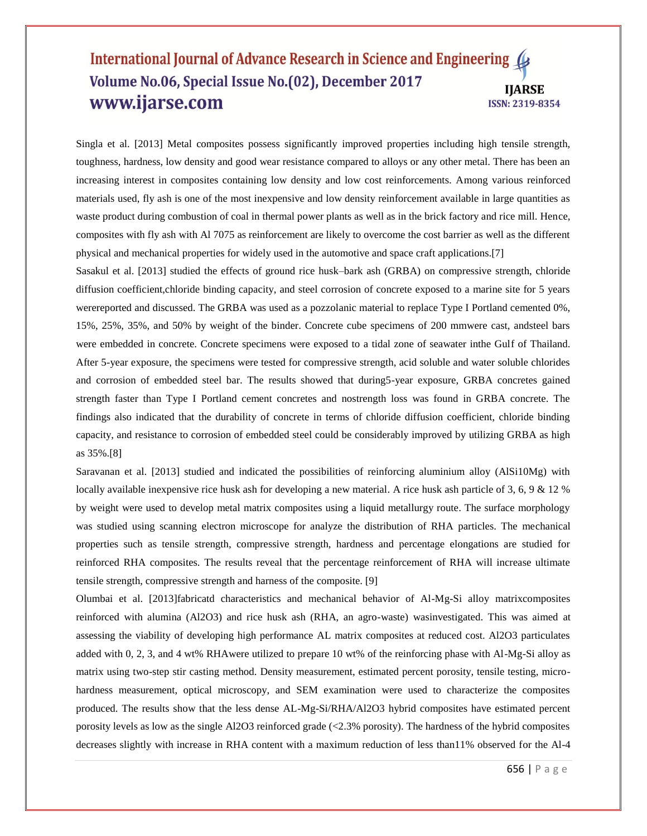Singla et al. [2013] Metal composites possess significantly improved properties including high tensile strength, toughness, hardness, low density and good wear resistance compared to alloys or any other metal. There has been an increasing interest in composites containing low density and low cost reinforcements. Among various reinforced materials used, fly ash is one of the most inexpensive and low density reinforcement available in large quantities as waste product during combustion of coal in thermal power plants as well as in the brick factory and rice mill. Hence, composites with fly ash with Al 7075 as reinforcement are likely to overcome the cost barrier as well as the different physical and mechanical properties for widely used in the automotive and space craft applications.[7]

Sasakul et al. [2013] studied the effects of ground rice husk–bark ash (GRBA) on compressive strength, chloride diffusion coefficient,chloride binding capacity, and steel corrosion of concrete exposed to a marine site for 5 years werereported and discussed. The GRBA was used as a pozzolanic material to replace Type I Portland cemented 0%, 15%, 25%, 35%, and 50% by weight of the binder. Concrete cube specimens of 200 mmwere cast, andsteel bars were embedded in concrete. Concrete specimens were exposed to a tidal zone of seawater inthe Gulf of Thailand. After 5-year exposure, the specimens were tested for compressive strength, acid soluble and water soluble chlorides and corrosion of embedded steel bar. The results showed that during5-year exposure, GRBA concretes gained strength faster than Type I Portland cement concretes and nostrength loss was found in GRBA concrete. The findings also indicated that the durability of concrete in terms of chloride diffusion coefficient, chloride binding capacity, and resistance to corrosion of embedded steel could be considerably improved by utilizing GRBA as high as 35%.[8]

Saravanan et al. [2013] studied and indicated the possibilities of reinforcing aluminium alloy (AlSi10Mg) with locally available inexpensive rice husk ash for developing a new material. A rice husk ash particle of 3, 6, 9 & 12 % by weight were used to develop metal matrix composites using a liquid metallurgy route. The surface morphology was studied using scanning electron microscope for analyze the distribution of RHA particles. The mechanical properties such as tensile strength, compressive strength, hardness and percentage elongations are studied for reinforced RHA composites. The results reveal that the percentage reinforcement of RHA will increase ultimate tensile strength, compressive strength and harness of the composite. [9]

Olumbai et al. [2013]fabricatd characteristics and mechanical behavior of Al-Mg-Si alloy matrixcomposites reinforced with alumina (Al2O3) and rice husk ash (RHA, an agro-waste) wasinvestigated. This was aimed at assessing the viability of developing high performance AL matrix composites at reduced cost. Al2O3 particulates added with 0, 2, 3, and 4 wt% RHAwere utilized to prepare 10 wt% of the reinforcing phase with Al-Mg-Si alloy as matrix using two-step stir casting method. Density measurement, estimated percent porosity, tensile testing, microhardness measurement, optical microscopy, and SEM examination were used to characterize the composites produced. The results show that the less dense AL-Mg-Si/RHA/Al2O3 hybrid composites have estimated percent porosity levels as low as the single Al2O3 reinforced grade (<2.3% porosity). The hardness of the hybrid composites decreases slightly with increase in RHA content with a maximum reduction of less than11% observed for the Al-4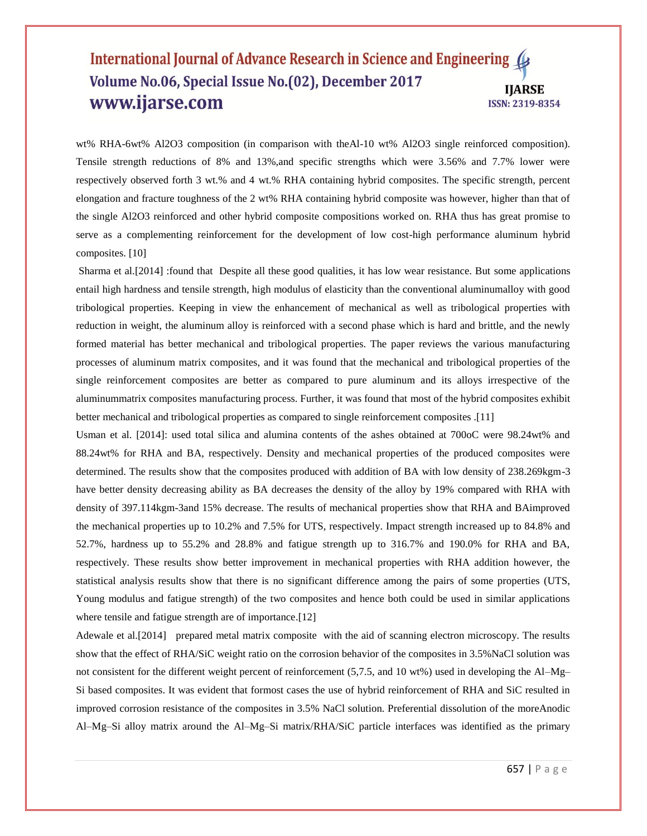wt% RHA-6wt% Al2O3 composition (in comparison with theAl-10 wt% Al2O3 single reinforced composition). Tensile strength reductions of 8% and 13%,and specific strengths which were 3.56% and 7.7% lower were respectively observed forth 3 wt.% and 4 wt.% RHA containing hybrid composites. The specific strength, percent elongation and fracture toughness of the 2 wt% RHA containing hybrid composite was however, higher than that of the single Al2O3 reinforced and other hybrid composite compositions worked on. RHA thus has great promise to serve as a complementing reinforcement for the development of low cost-high performance aluminum hybrid composites. [10]

Sharma et al.[2014] :found that Despite all these good qualities, it has low wear resistance. But some applications entail high hardness and tensile strength, high modulus of elasticity than the conventional aluminumalloy with good tribological properties. Keeping in view the enhancement of mechanical as well as tribological properties with reduction in weight, the aluminum alloy is reinforced with a second phase which is hard and brittle, and the newly formed material has better mechanical and tribological properties. The paper reviews the various manufacturing processes of aluminum matrix composites, and it was found that the mechanical and tribological properties of the single reinforcement composites are better as compared to pure aluminum and its alloys irrespective of the aluminummatrix composites manufacturing process. Further, it was found that most of the hybrid composites exhibit better mechanical and tribological properties as compared to single reinforcement composites .[11]

Usman et al. [2014]: used total silica and alumina contents of the ashes obtained at 700oC were 98.24wt% and 88.24wt% for RHA and BA, respectively. Density and mechanical properties of the produced composites were determined. The results show that the composites produced with addition of BA with low density of 238.269kgm-3 have better density decreasing ability as BA decreases the density of the alloy by 19% compared with RHA with density of 397.114kgm-3and 15% decrease. The results of mechanical properties show that RHA and BAimproved the mechanical properties up to 10.2% and 7.5% for UTS, respectively. Impact strength increased up to 84.8% and 52.7%, hardness up to 55.2% and 28.8% and fatigue strength up to 316.7% and 190.0% for RHA and BA, respectively. These results show better improvement in mechanical properties with RHA addition however, the statistical analysis results show that there is no significant difference among the pairs of some properties (UTS, Young modulus and fatigue strength) of the two composites and hence both could be used in similar applications where tensile and fatigue strength are of importance.<sup>[12]</sup>

Adewale et al. [2014] prepared metal matrix composite with the aid of scanning electron microscopy. The results show that the effect of RHA/SiC weight ratio on the corrosion behavior of the composites in 3.5%NaCl solution was not consistent for the different weight percent of reinforcement (5,7.5, and 10 wt%) used in developing the Al–Mg– Si based composites. It was evident that formost cases the use of hybrid reinforcement of RHA and SiC resulted in improved corrosion resistance of the composites in 3.5% NaCl solution. Preferential dissolution of the moreAnodic Al–Mg–Si alloy matrix around the Al–Mg–Si matrix/RHA/SiC particle interfaces was identified as the primary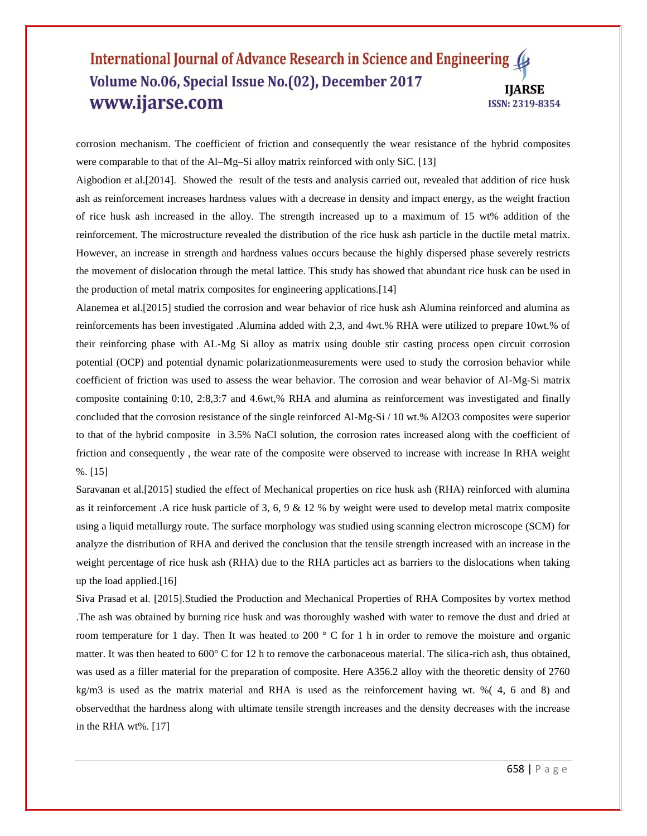corrosion mechanism. The coefficient of friction and consequently the wear resistance of the hybrid composites were comparable to that of the Al–Mg–Si alloy matrix reinforced with only SiC. [13]

Aigbodion et al.[2014]. Showed the result of the tests and analysis carried out, revealed that addition of rice husk ash as reinforcement increases hardness values with a decrease in density and impact energy, as the weight fraction of rice husk ash increased in the alloy. The strength increased up to a maximum of 15 wt% addition of the reinforcement. The microstructure revealed the distribution of the rice husk ash particle in the ductile metal matrix. However, an increase in strength and hardness values occurs because the highly dispersed phase severely restricts the movement of dislocation through the metal lattice. This study has showed that abundant rice husk can be used in the production of metal matrix composites for engineering applications.[14]

Alanemea et al.[2015] studied the corrosion and wear behavior of rice husk ash Alumina reinforced and alumina as reinforcements has been investigated .Alumina added with 2,3, and 4wt.% RHA were utilized to prepare 10wt.% of their reinforcing phase with AL-Mg Si alloy as matrix using double stir casting process open circuit corrosion potential (OCP) and potential dynamic polarizationmeasurements were used to study the corrosion behavior while coefficient of friction was used to assess the wear behavior. The corrosion and wear behavior of Al-Mg-Si matrix composite containing 0:10, 2:8,3:7 and 4.6wt,% RHA and alumina as reinforcement was investigated and finally concluded that the corrosion resistance of the single reinforced Al-Mg-Si / 10 wt.% Al2O3 composites were superior to that of the hybrid composite in 3.5% NaCl solution, the corrosion rates increased along with the coefficient of friction and consequently , the wear rate of the composite were observed to increase with increase In RHA weight %. [15]

Saravanan et al.[2015] studied the effect of Mechanical properties on rice husk ash (RHA) reinforced with alumina as it reinforcement .A rice husk particle of 3, 6, 9  $\&$  12 % by weight were used to develop metal matrix composite using a liquid metallurgy route. The surface morphology was studied using scanning electron microscope (SCM) for analyze the distribution of RHA and derived the conclusion that the tensile strength increased with an increase in the weight percentage of rice husk ash (RHA) due to the RHA particles act as barriers to the dislocations when taking up the load applied.[16]

Siva Prasad et al. [2015].Studied the Production and Mechanical Properties of RHA Composites by vortex method .The ash was obtained by burning rice husk and was thoroughly washed with water to remove the dust and dried at room temperature for 1 day. Then It was heated to 200 ° C for 1 h in order to remove the moisture and organic matter. It was then heated to 600° C for 12 h to remove the carbonaceous material. The silica-rich ash, thus obtained, was used as a filler material for the preparation of composite. Here A356.2 alloy with the theoretic density of 2760 kg/m3 is used as the matrix material and RHA is used as the reinforcement having wt. %( 4, 6 and 8) and observedthat the hardness along with ultimate tensile strength increases and the density decreases with the increase in the RHA wt%. [17]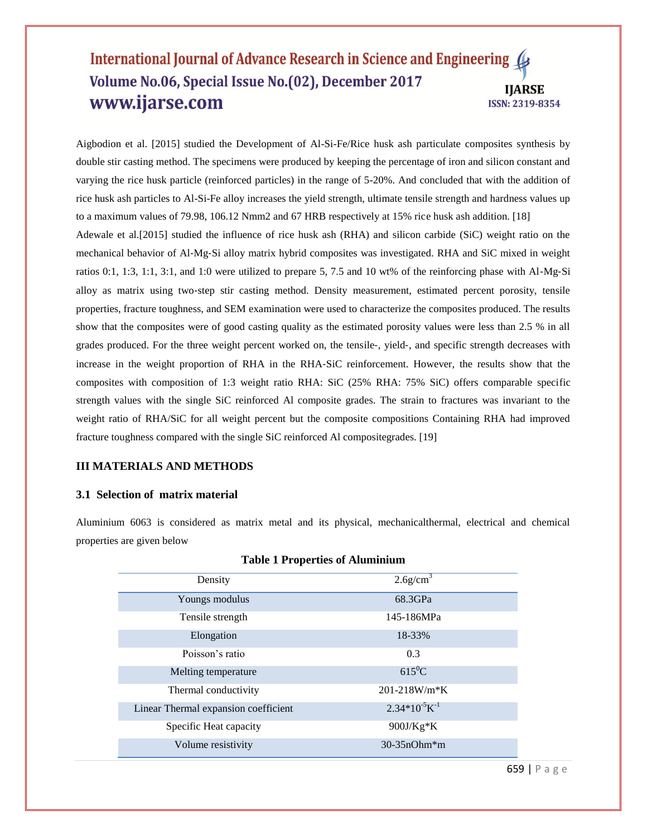Aigbodion et al. [2015] studied the Development of Al-Si-Fe/Rice husk ash particulate composites synthesis by double stir casting method. The specimens were produced by keeping the percentage of iron and silicon constant and varying the rice husk particle (reinforced particles) in the range of 5-20%. And concluded that with the addition of rice husk ash particles to Al-Si-Fe alloy increases the yield strength, ultimate tensile strength and hardness values up to a maximum values of 79.98, 106.12 Nmm2 and 67 HRB respectively at 15% rice husk ash addition. [18] Adewale et al.[2015] studied the influence of rice husk ash (RHA) and silicon carbide (SiC) weight ratio on the mechanical behavior of Al‐Mg‐Si alloy matrix hybrid composites was investigated. RHA and SiC mixed in weight ratios 0:1, 1:3, 1:1, 3:1, and 1:0 were utilized to prepare 5, 7.5 and 10 wt% of the reinforcing phase with Al-Mg-Si alloy as matrix using two‐step stir casting method. Density measurement, estimated percent porosity, tensile properties, fracture toughness, and SEM examination were used to characterize the composites produced. The results show that the composites were of good casting quality as the estimated porosity values were less than 2.5 % in all grades produced. For the three weight percent worked on, the tensile‐, yield‐, and specific strength decreases with increase in the weight proportion of RHA in the RHA‐SiC reinforcement. However, the results show that the composites with composition of 1:3 weight ratio RHA: SiC (25% RHA: 75% SiC) offers comparable specific strength values with the single SiC reinforced Al composite grades. The strain to fractures was invariant to the weight ratio of RHA/SiC for all weight percent but the composite compositions Containing RHA had improved fracture toughness compared with the single SiC reinforced Al compositegrades. [19]

# **III MATERIALS AND METHODS**

# **3.1 Selection of matrix material**

Aluminium 6063 is considered as matrix metal and its physical, mechanicalthermal, electrical and chemical properties are given below

| Density                              | $2.6$ g/cm <sup>3</sup> |
|--------------------------------------|-------------------------|
| Youngs modulus                       | 68.3GPa                 |
| Tensile strength                     | 145-186MPa              |
| Elongation                           | 18-33%                  |
| Poisson's ratio                      | 0.3                     |
| Melting temperature                  | $615^0C$                |
| Thermal conductivity                 | $201 - 218$ W/m*K       |
| Linear Thermal expansion coefficient | $2.34*10^{-5}K^{-1}$    |
| Specific Heat capacity               | 900J/Kg*K               |
| Volume resistivity                   | $30-35nOhm*m$           |

| <b>Table 1 Properties of Aluminium</b> |  |  |  |  |  |
|----------------------------------------|--|--|--|--|--|
|----------------------------------------|--|--|--|--|--|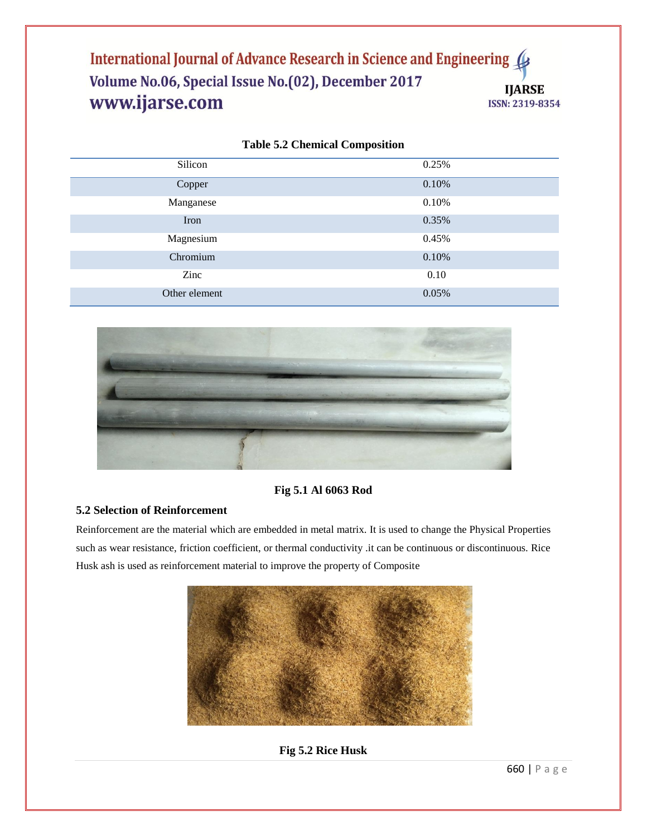| Silicon       | 0.25% |
|---------------|-------|
| Copper        | 0.10% |
| Manganese     | 0.10% |
| Iron          | 0.35% |
| Magnesium     | 0.45% |
| Chromium      | 0.10% |
| Zinc          | 0.10  |
| Other element | 0.05% |

|  |  |  | <b>Table 5.2 Chemical Composition</b> |
|--|--|--|---------------------------------------|
|--|--|--|---------------------------------------|



# **Fig 5.1 Al 6063 Rod**

# **5.2 Selection of Reinforcement**

Reinforcement are the material which are embedded in metal matrix. It is used to change the Physical Properties such as wear resistance, friction coefficient, or thermal conductivity .it can be continuous or discontinuous. Rice Husk ash is used as reinforcement material to improve the property of Composite



# **Fig 5.2 Rice Husk**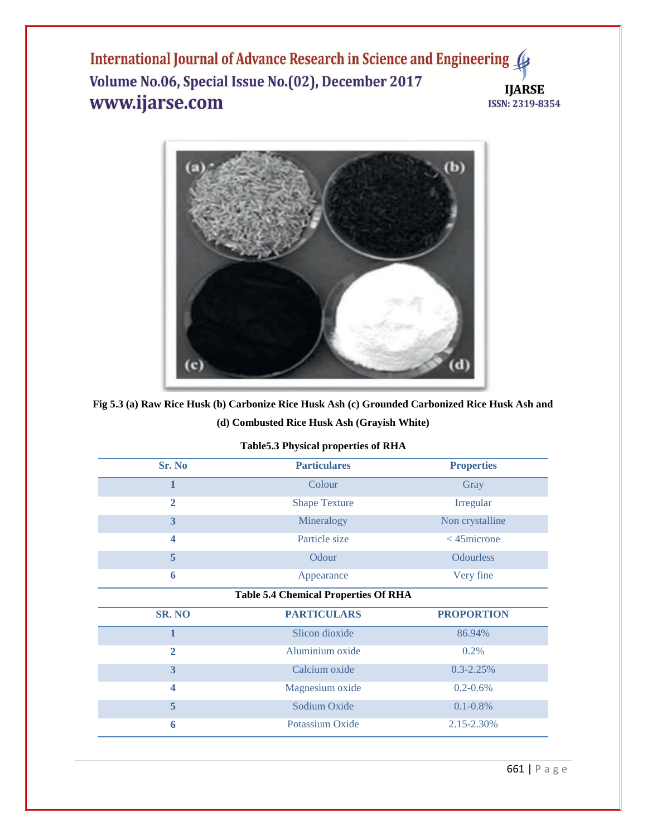

# **Fig 5.3 (a) Raw Rice Husk (b) Carbonize Rice Husk Ash (c) Grounded Carbonized Rice Husk Ash and (d) Combusted Rice Husk Ash (Grayish White)**

| Sr. No                                      | <b>Particulares</b>  | <b>Properties</b> |  |  |
|---------------------------------------------|----------------------|-------------------|--|--|
| $\mathbf{1}$                                | Colour               | Gray              |  |  |
| $\overline{2}$                              | <b>Shape Texture</b> | Irregular         |  |  |
| 3                                           | Mineralogy           | Non crystalline   |  |  |
| 4                                           | Particle size        | $<$ 45 $microne$  |  |  |
| 5                                           | Odour                | <b>Odourless</b>  |  |  |
| 6                                           | Appearance           | Very fine         |  |  |
| <b>Table 5.4 Chemical Properties Of RHA</b> |                      |                   |  |  |
| <b>SR. NO</b>                               | <b>PARTICULARS</b>   | <b>PROPORTION</b> |  |  |
| $\mathbf{1}$                                | Slicon dioxide       | 86.94%            |  |  |
| $\overline{2}$                              | Aluminium oxide      | 0.2%              |  |  |
| 3                                           | Calcium oxide        | $0.3 - 2.25%$     |  |  |
| $\overline{\mathbf{4}}$                     | Magnesium oxide      | $0.2 - 0.6\%$     |  |  |
| $\overline{5}$                              | Sodium Oxide         | $0.1 - 0.8\%$     |  |  |
| 6                                           | Potassium Oxide      | 2.15-2.30%        |  |  |

# **Table5.3 Physical properties of RHA**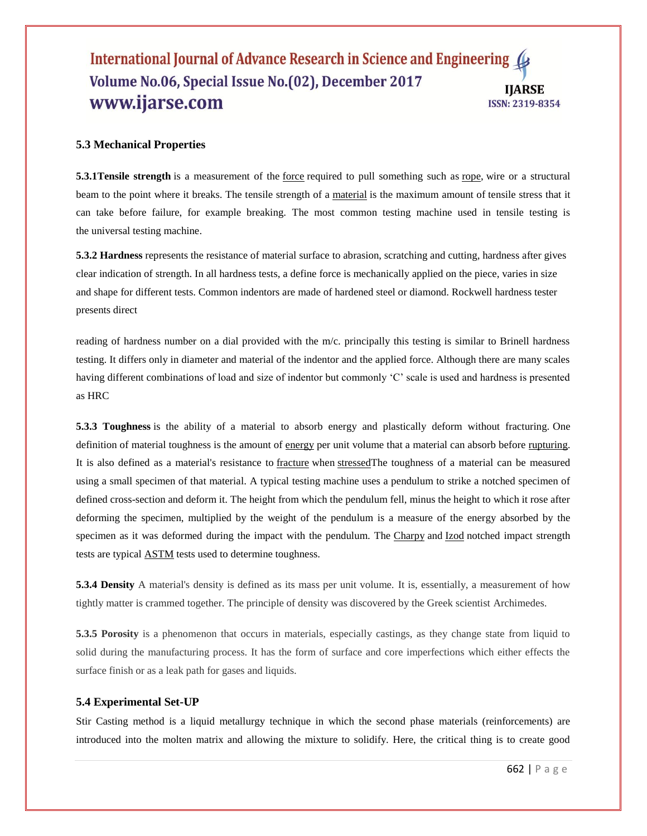# **5.3 Mechanical Properties**

**5.3.1Tensile strength** is a measurement of the <u>[force](https://simple.wikipedia.org/wiki/Force_(physics))</u> required to pull something such as <u>rope</u>, wire or a structural beam to the point where it breaks. The tensile strength of a [material](https://simple.wikipedia.org/wiki/Material) is the maximum amount of tensile stress that it can take before failure, for example breaking. The most common testing machine used in tensile testing is the [universal testing machine.](https://en.wikipedia.org/wiki/Universal_testing_machine)

**5.3.2 Hardness** represents the resistance of material surface to abrasion, scratching and cutting, hardness after gives clear indication of strength. In all hardness tests, a define force is mechanically applied on the piece, varies in size and shape for different tests. Common indentors are made of hardened steel or diamond. Rockwell hardness tester presents direct

reading of hardness number on a dial provided with the m/c. principally this testing is similar to Brinell hardness testing. It differs only in diameter and material of the indentor and the applied force. Although there are many scales having different combinations of load and size of indentor but commonly 'C' scale is used and hardness is presented as HRC

**5.3.3 Toughness** is the ability of a material to absorb energy and plastically deform without fracturing. One definition of material toughness is the amount of [energy](https://en.wikipedia.org/wiki/Energy) per unit volume that a material can absorb before [rupturing.](https://en.wikipedia.org/wiki/Rupture_(engineering)) It is also defined as a material's resistance to [fracture](https://en.wikipedia.org/wiki/Fracture) when [stressedT](https://en.wikipedia.org/wiki/Stress_(physics))he toughness of a material can be measured using a small specimen of that material. A typical testing machine uses a pendulum to strike a notched specimen of defined cross-section and deform it. The height from which the pendulum fell, minus the height to which it rose after deforming the specimen, multiplied by the weight of the pendulum is a measure of the energy absorbed by the specimen as it was deformed during the impact with the pendulum. The [Charpy](https://en.wikipedia.org/wiki/Charpy) and [Izod](https://en.wikipedia.org/wiki/Izod_impact_strength_test) notched impact strength tests are typical [ASTM](https://en.wikipedia.org/wiki/ASTM) tests used to determine toughness.

**5.3.4 Density** A material's density is defined as its mass per unit volume. It is, essentially, a measurement of how tightly matter is crammed together. The principle of density was discovered by the Greek scientist [Archimedes.](https://www.thoughtco.com/physics-of-the-greeks-2699229)

**5.3.5 Porosity** is a phenomenon that occurs in materials, especially castings, as they change state from liquid to solid during the manufacturing process. It has the form of surface and core imperfections which either effects the surface finish or as a leak path for gases and liquids.

#### **5.4 Experimental Set-UP**

Stir Casting method is a liquid metallurgy technique in which the second phase materials (reinforcements) are introduced into the molten matrix and allowing the mixture to solidify. Here, the critical thing is to create good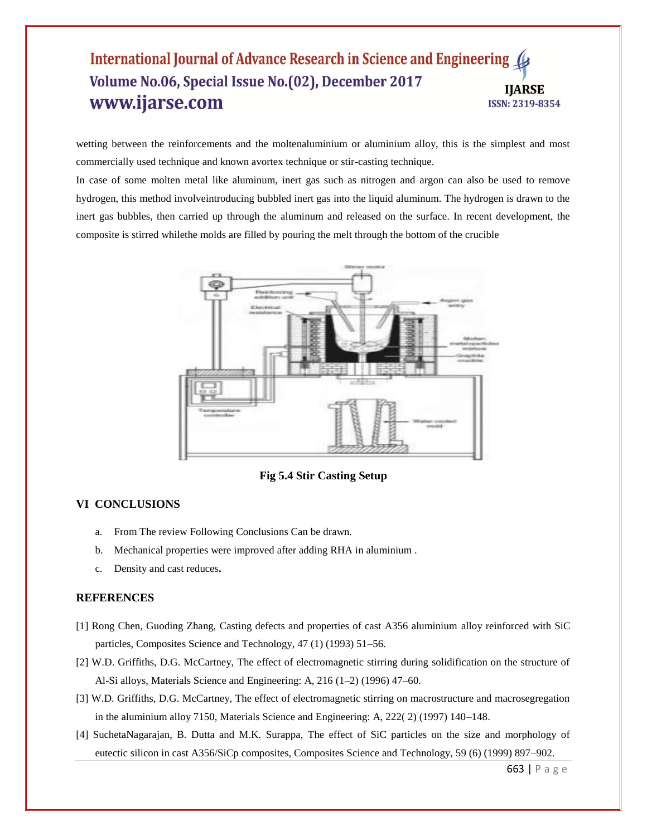wetting between the reinforcements and the moltenaluminium or aluminium alloy, this is the simplest and most commercially used technique and known avortex technique or stir-casting technique.

In case of some molten metal like aluminum, inert gas such as nitrogen and argon can also be used to remove hydrogen, this method involveintroducing bubbled inert gas into the liquid aluminum. The hydrogen is drawn to the inert gas bubbles, then carried up through the aluminum and released on the surface. In recent development, the composite is stirred whilethe molds are filled by pouring the melt through the bottom of the crucible



**Fig 5.4 Stir Casting Setup**

# **VI CONCLUSIONS**

- a. From The review Following Conclusions Can be drawn.
- b. Mechanical properties were improved after adding RHA in aluminium .
- c. Density and cast reduces**.**

# **REFERENCES**

- [1] Rong Chen, Guoding Zhang, Casting defects and properties of cast A356 aluminium alloy reinforced with SiC particles, Composites Science and Technology, 47 (1) (1993) 51–56.
- [2] W.D. Griffiths, D.G. McCartney, The effect of electromagnetic stirring during solidification on the structure of Al-Si alloys, Materials Science and Engineering: A, 216 (1–2) (1996) 47–60.
- [3] W.D. Griffiths, D.G. McCartney, The effect of electromagnetic stirring on macrostructure and macrosegregation in the aluminium alloy 7150, Materials Science and Engineering: A, 222( 2) (1997) 140–148.
- [4] SuchetaNagarajan, B. Dutta and M.K. Surappa, The effect of SiC particles on the size and morphology of eutectic silicon in cast A356/SiCp composites, Composites Science and Technology, 59 (6) (1999) 897–902.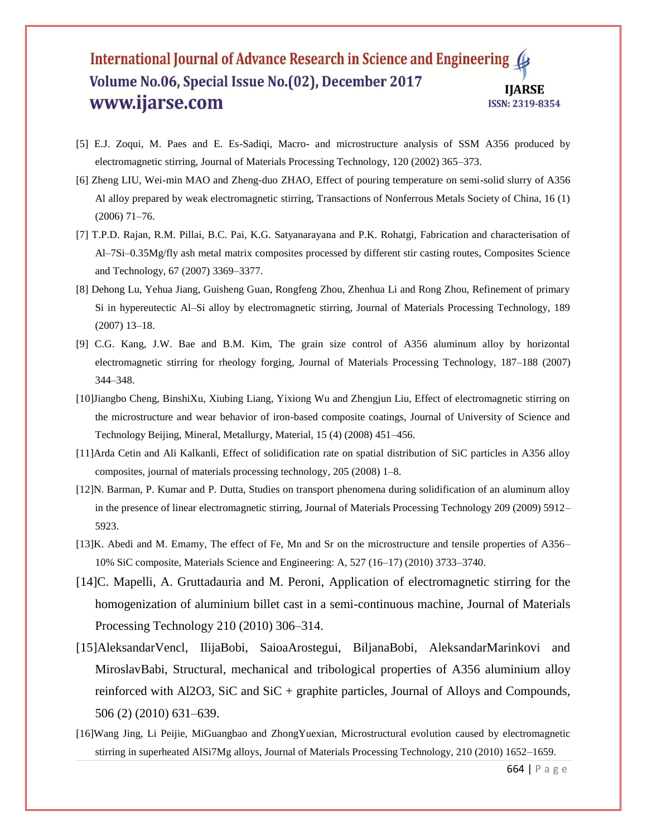- [5] E.J. Zoqui, M. Paes and E. Es-Sadiqi, Macro- and microstructure analysis of SSM A356 produced by electromagnetic stirring, Journal of Materials Processing Technology, 120 (2002) 365–373.
- [6] Zheng LIU, Wei-min MAO and Zheng-duo ZHAO, Effect of pouring temperature on semi-solid slurry of A356 Al alloy prepared by weak electromagnetic stirring, Transactions of Nonferrous Metals Society of China, 16 (1) (2006) 71–76.
- [7] T.P.D. Rajan, R.M. Pillai, B.C. Pai, K.G. Satyanarayana and P.K. Rohatgi, Fabrication and characterisation of Al–7Si–0.35Mg/fly ash metal matrix composites processed by different stir casting routes, Composites Science and Technology, 67 (2007) 3369–3377.
- [8] Dehong Lu, Yehua Jiang, Guisheng Guan, Rongfeng Zhou, Zhenhua Li and Rong Zhou, Refinement of primary Si in hypereutectic Al–Si alloy by electromagnetic stirring, Journal of Materials Processing Technology, 189 (2007) 13–18.
- [9] C.G. Kang, J.W. Bae and B.M. Kim, The grain size control of A356 aluminum alloy by horizontal electromagnetic stirring for rheology forging, Journal of Materials Processing Technology, 187–188 (2007) 344–348.
- [10]Jiangbo Cheng, BinshiXu, Xiubing Liang, Yixiong Wu and Zhengjun Liu, Effect of electromagnetic stirring on the microstructure and wear behavior of iron-based composite coatings, Journal of University of Science and Technology Beijing, Mineral, Metallurgy, Material, 15 (4) (2008) 451–456.
- [11]Arda Cetin and Ali Kalkanli, Effect of solidification rate on spatial distribution of SiC particles in A356 alloy composites, journal of materials processing technology, 205 (2008) 1–8.
- [12]N. Barman, P. Kumar and P. Dutta, Studies on transport phenomena during solidification of an aluminum alloy in the presence of linear electromagnetic stirring, Journal of Materials Processing Technology 209 (2009) 5912– 5923.
- [13]K. Abedi and M. Emamy, The effect of Fe, Mn and Sr on the microstructure and tensile properties of A356– 10% SiC composite, Materials Science and Engineering: A, 527 (16–17) (2010) 3733–3740.
- [14]C. Mapelli, A. Gruttadauria and M. Peroni, Application of electromagnetic stirring for the homogenization of aluminium billet cast in a semi-continuous machine, Journal of Materials Processing Technology 210 (2010) 306–314.
- [15]AleksandarVencl, IlijaBobi, SaioaArostegui, BiljanaBobi, AleksandarMarinkovi and MiroslavBabi, Structural, mechanical and tribological properties of A356 aluminium alloy reinforced with Al2O3, SiC and SiC + graphite particles, Journal of Alloys and Compounds, 506 (2) (2010) 631–639.
- [16]Wang Jing, Li Peijie, MiGuangbao and ZhongYuexian, Microstructural evolution caused by electromagnetic stirring in superheated AlSi7Mg alloys, Journal of Materials Processing Technology, 210 (2010) 1652–1659.